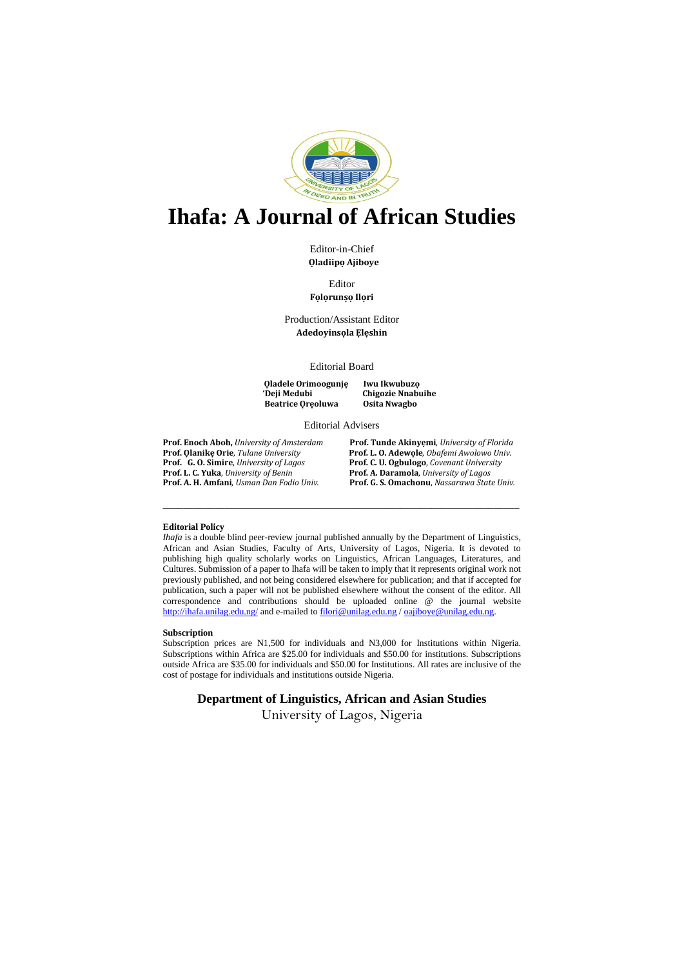

## **Ihafa: A Journal of African Studies**

Editor-in-Chief  **Ọladiipọ Ajiboye**

Editor **Fọlọrunṣọ Ilọri**

Production/Assistant Editor **Adedoyinsọla Ẹlẹshin**

Editorial Board

**Ọladele Orimoogunjẹ Iwu Ikwubuzọ Beatrice Oreoluwa** 

**Chigozie Nnabuihe**<br>**Osita Nwagbo** 

#### Editorial Advisers

**Prof. G. O. Simire**, *University of Lagos* **Prof. C. U. Ogbulogo**, *Covenant University*

**Prof. Enoch Aboh,** *University of Amsterdam* **Prof. Tunde Akinyẹmi**, *University of Florida* Prof. L. O. Adewole, *Obafemi Awolowo Univ.* **Prof. L. C. Yuka**, *University of Benin* **Prof. A. Daramola**, *University of Lagos* **Prof. A. H. Amfani**, *Usman Dan Fodio Univ.* **Prof. G. S. Omachonu**, *Nassarawa State Univ.*

## **Editorial Policy**

*Ihafa* is a double blind peer-review journal published annually by the Department of Linguistics, African and Asian Studies, Faculty of Arts, University of Lagos, Nigeria. It is devoted to publishing high quality scholarly works on Linguistics, African Languages, Literatures, and Cultures. Submission of a paper to Ihafa will be taken to imply that it represents original work not previously published, and not being considered elsewhere for publication; and that if accepted for publication, such a paper will not be published elsewhere without the consent of the editor. All correspondence and contributions should be uploaded online @ the journal website <http://ihafa.unilag.edu.ng/> and e-mailed t[o filori@unilag.edu.ng](mailto:filori@unilag.edu.ng) / [oajiboye@unilag.edu.ng.](mailto:oajiboye@unilag.edu.ng)

**\_\_\_\_\_\_\_\_\_\_\_\_\_\_\_\_\_\_\_\_\_\_\_\_\_\_\_\_\_\_\_\_\_\_\_\_\_\_\_\_\_\_\_\_\_\_\_\_\_\_\_\_\_\_\_\_\_\_\_\_\_\_\_\_\_\_\_\_\_**

### **Subscription**

Subscription prices are N1,500 for individuals and N3,000 for Institutions within Nigeria. Subscriptions within Africa are \$25.00 for individuals and \$50.00 for institutions. Subscriptions outside Africa are \$35.00 for individuals and \$50.00 for Institutions. All rates are inclusive of the cost of postage for individuals and institutions outside Nigeria.

**Department of Linguistics, African and Asian Studies**

University of Lagos, Nigeria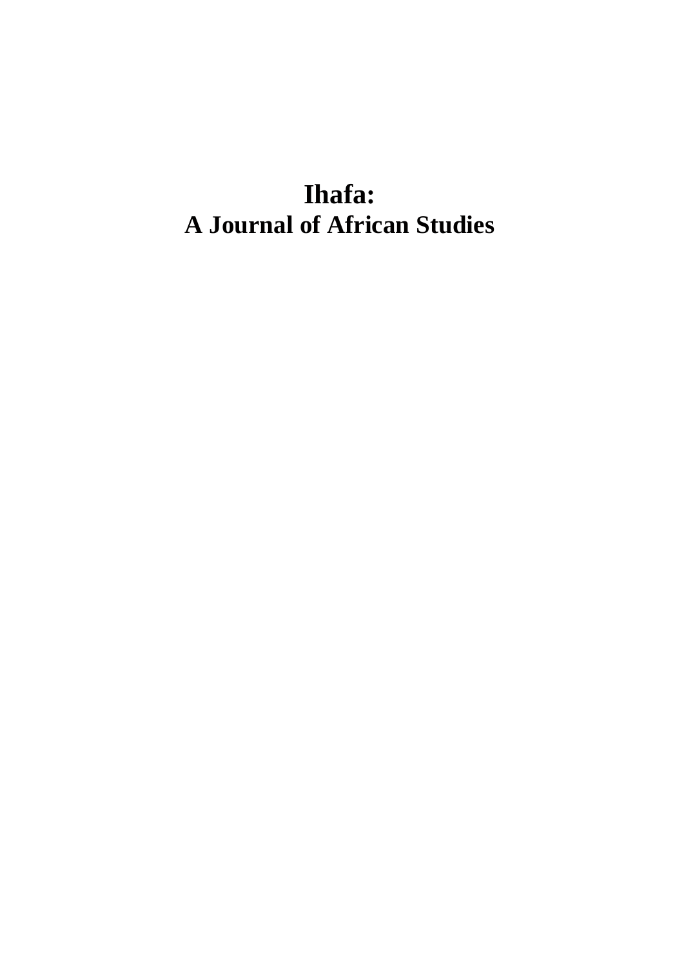# **Ihafa: A Journal of African Studies**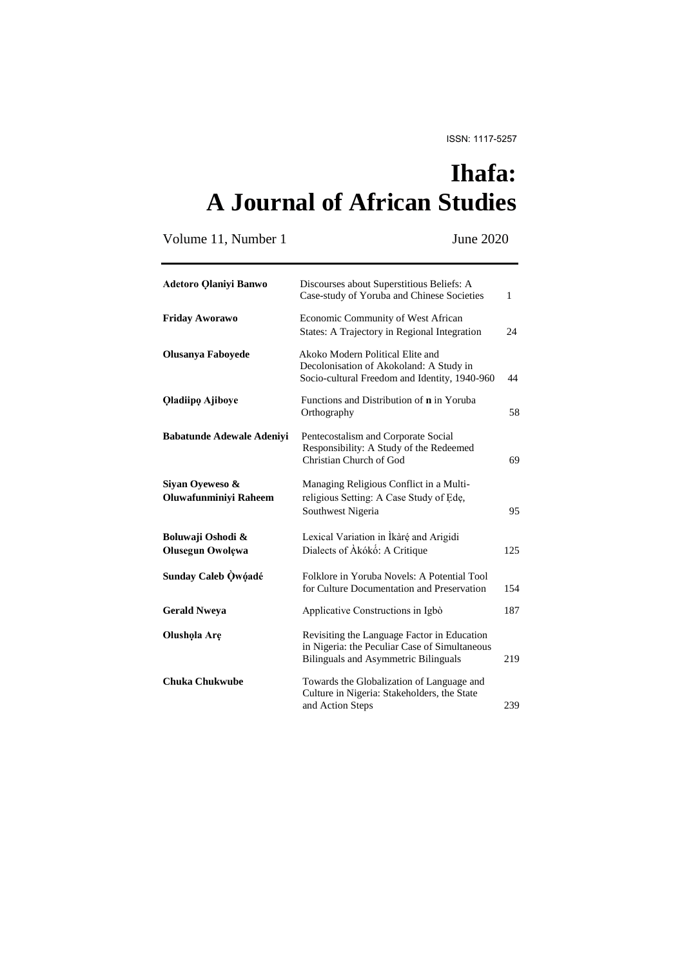## **Ihafa: A Journal of African Studies**

Volume 11, Number 1 June 2020

| <b>Adetoro Qlaniyi Banwo</b>                 | Discourses about Superstitious Beliefs: A<br>Case-study of Yoruba and Chinese Societies                                              | $\mathbf{1}$ |
|----------------------------------------------|--------------------------------------------------------------------------------------------------------------------------------------|--------------|
| <b>Friday Aworawo</b>                        | Economic Community of West African<br>States: A Trajectory in Regional Integration                                                   | 24           |
| <b>Olusanya Faboyede</b>                     | Akoko Modern Political Elite and<br>Decolonisation of Akokoland: A Study in<br>Socio-cultural Freedom and Identity, 1940-960         | 44           |
| Qladiipo Ajiboye                             | Functions and Distribution of <b>n</b> in Yoruba<br>Orthography                                                                      | 58           |
| <b>Babatunde Adewale Adeniyi</b>             | Pentecostalism and Corporate Social<br>Responsibility: A Study of the Redeemed<br>Christian Church of God                            | 69           |
| Siyan Oyeweso &<br>Oluwafunminiyi Raheem     | Managing Religious Conflict in a Multi-<br>religious Setting: A Case Study of Ede,<br>Southwest Nigeria                              | 95           |
| Boluwaji Oshodi &<br><b>Olusegun Owolewa</b> | Lexical Variation in İkàré and Arigidi<br>Dialects of Akókó: A Critique                                                              | 125          |
| Sunday Caleb Qwóadé                          | Folklore in Yoruba Novels: A Potential Tool<br>for Culture Documentation and Preservation                                            | 154          |
| <b>Gerald Nweya</b>                          | Applicative Constructions in Igbò                                                                                                    | 187          |
| Olushola Are                                 | Revisiting the Language Factor in Education<br>in Nigeria: the Peculiar Case of Simultaneous<br>Bilinguals and Asymmetric Bilinguals | 219          |
| <b>Chuka Chukwube</b>                        | Towards the Globalization of Language and<br>Culture in Nigeria: Stakeholders, the State<br>and Action Steps                         | 239          |